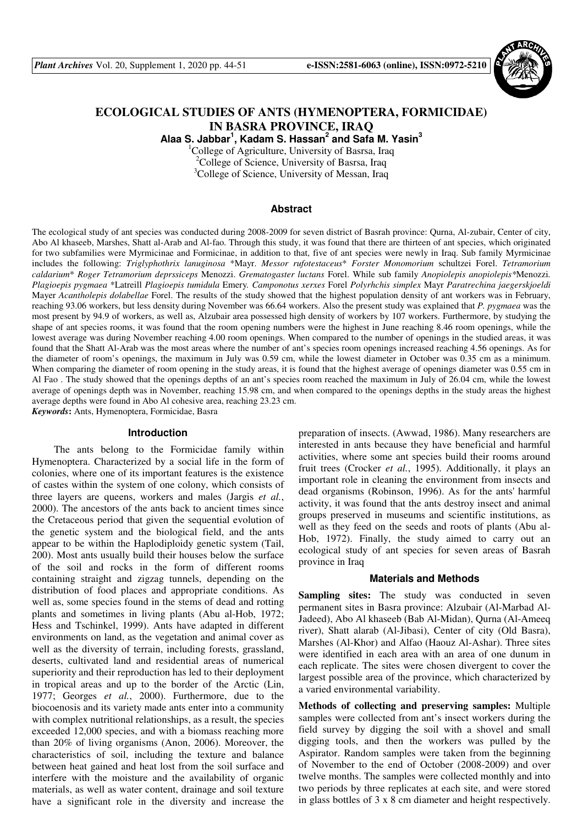

# **ECOLOGICAL STUDIES OF ANTS (HYMENOPTERA, FORMICIDAE) IN BASRA PROVINCE, IRAQ**

**Alaa S. Jabbar<sup>1</sup> , Kadam S. Hassan<sup>2</sup> and Safa M. Yasin<sup>3</sup>**

<sup>1</sup>College of Agriculture, University of Basrsa, Iraq <sup>2</sup>College of Science, University of Basrsa, Iraq <sup>3</sup>College of Science, University of Messan, Iraq

#### **Abstract**

The ecological study of ant species was conducted during 2008-2009 for seven district of Basrah province: Qurna, Al-zubair, Center of city, Abo Al khaseeb, Marshes, Shatt al-Arab and Al-fao. Through this study, it was found that there are thirteen of ant species, which originated for two subfamilies were Myrmicinae and Formicinae, in addition to that, five of ant species were newly in Iraq. Sub family Myrmicinae includes the following: *Triglyphothrix lanuginosa* \*Mayr. *Messor rufotestaceus*\* *Forster Monomorium* schultzei Forel. *Tetramorium caldarium*\* *Roger Tetramorium deprssiceps* Menozzi. *Grematogaster luctans* Forel. While sub family *Anopiolepis anopiolepis\**Menozzi*. Plagioepis pygmaea* \*Latreill *Plagioepis tumidula* Emery*. Camponotus xerxes* Forel *Polyrhchis simplex* Mayr *Paratrechina jaegerskjoeldi* Mayer *Acantholepis dolabellae* Forel. The results of the study showed that the highest population density of ant workers was in February, reaching 93.06 workers, but less density during November was 66.64 workers. Also the present study was explained that *P. pygmaea* was the most present by 94.9 of workers, as well as, Alzubair area possessed high density of workers by 107 workers. Furthermore, by studying the shape of ant species rooms, it was found that the room opening numbers were the highest in June reaching 8.46 room openings, while the lowest average was during November reaching 4.00 room openings. When compared to the number of openings in the studied areas, it was found that the Shatt Al-Arab was the most areas where the number of ant's species room openings increased reaching 4.56 openings. As for the diameter of room's openings, the maximum in July was 0.59 cm, while the lowest diameter in October was 0.35 cm as a minimum. When comparing the diameter of room opening in the study areas, it is found that the highest average of openings diameter was 0.55 cm in Al Fao . The study showed that the openings depths of an ant's species room reached the maximum in July of 26.04 cm, while the lowest average of openings depth was in November, reaching 15.98 cm, and when compared to the openings depths in the study areas the highest average depths were found in Abo Al cohesive area, reaching 23.23 cm.

*Keywords***:** Ants, Hymenoptera, Formicidae, Basra

#### **Introduction**

The ants belong to the Formicidae family within Hymenoptera. Characterized by a social life in the form of colonies, where one of its important features is the existence of castes within the system of one colony, which consists of three layers are queens, workers and males (Jargis *et al.*, 2000). The ancestors of the ants back to ancient times since the Cretaceous period that given the sequential evolution of the genetic system and the biological field, and the ants appear to be within the Haplodiploidy genetic system (Tail, 200). Most ants usually build their houses below the surface of the soil and rocks in the form of different rooms containing straight and zigzag tunnels, depending on the distribution of food places and appropriate conditions. As well as, some species found in the stems of dead and rotting plants and sometimes in living plants (Abu al-Hob, 1972; Hess and Tschinkel, 1999). Ants have adapted in different environments on land, as the vegetation and animal cover as well as the diversity of terrain, including forests, grassland, deserts, cultivated land and residential areas of numerical superiority and their reproduction has led to their deployment in tropical areas and up to the border of the Arctic (Lin, 1977; Georges *et al.*, 2000). Furthermore, due to the biocoenosis and its variety made ants enter into a community with complex nutritional relationships, as a result, the species exceeded 12,000 species, and with a biomass reaching more than 20% of living organisms (Anon, 2006). Moreover, the characteristics of soil, including the texture and balance between heat gained and heat lost from the soil surface and interfere with the moisture and the availability of organic materials, as well as water content, drainage and soil texture have a significant role in the diversity and increase the preparation of insects. (Awwad, 1986). Many researchers are interested in ants because they have beneficial and harmful activities, where some ant species build their rooms around fruit trees (Crocker *et al.*, 1995). Additionally, it plays an important role in cleaning the environment from insects and dead organisms (Robinson, 1996). As for the ants' harmful activity, it was found that the ants destroy insect and animal groups preserved in museums and scientific institutions, as well as they feed on the seeds and roots of plants (Abu al-Hob, 1972). Finally, the study aimed to carry out an ecological study of ant species for seven areas of Basrah province in Iraq

#### **Materials and Methods**

**Sampling sites:** The study was conducted in seven permanent sites in Basra province: Alzubair (Al-Marbad Al-Jadeed), Abo Al khaseeb (Bab Al-Midan), Qurna (Al-Ameeq river), Shatt alarab (Al-Jibasi), Center of city (Old Basra), Marshes (Al-Khor) and Alfao (Haouz Al-Ashar). Three sites were identified in each area with an area of one dunum in each replicate. The sites were chosen divergent to cover the largest possible area of the province, which characterized by a varied environmental variability.

**Methods of collecting and preserving samples:** Multiple samples were collected from ant's insect workers during the field survey by digging the soil with a shovel and small digging tools, and then the workers was pulled by the Aspirator. Random samples were taken from the beginning of November to the end of October (2008-2009) and over twelve months. The samples were collected monthly and into two periods by three replicates at each site, and were stored in glass bottles of 3 x 8 cm diameter and height respectively.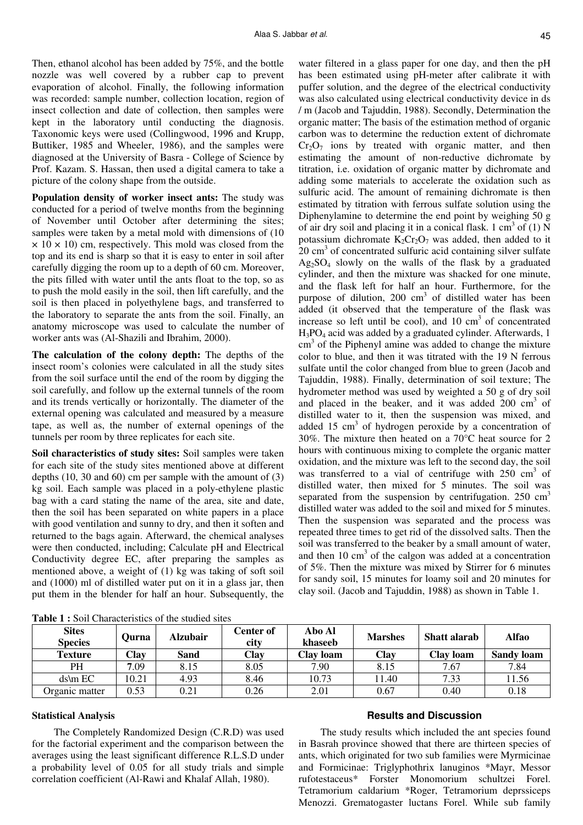Then, ethanol alcohol has been added by 75%, and the bottle nozzle was well covered by a rubber cap to prevent evaporation of alcohol. Finally, the following information was recorded: sample number, collection location, region of insect collection and date of collection, then samples were kept in the laboratory until conducting the diagnosis. Taxonomic keys were used (Collingwood, 1996 and Krupp, Buttiker, 1985 and Wheeler, 1986), and the samples were diagnosed at the University of Basra - College of Science by Prof. Kazam. S. Hassan, then used a digital camera to take a picture of the colony shape from the outside.

**Population density of worker insect ants:** The study was conducted for a period of twelve months from the beginning of November until October after determining the sites; samples were taken by a metal mold with dimensions of (10  $\times$  10  $\times$  10) cm, respectively. This mold was closed from the top and its end is sharp so that it is easy to enter in soil after carefully digging the room up to a depth of 60 cm. Moreover, the pits filled with water until the ants float to the top, so as to push the mold easily in the soil, then lift carefully, and the soil is then placed in polyethylene bags, and transferred to the laboratory to separate the ants from the soil. Finally, an anatomy microscope was used to calculate the number of worker ants was (Al-Shazili and Ibrahim, 2000).

**The calculation of the colony depth:** The depths of the insect room's colonies were calculated in all the study sites from the soil surface until the end of the room by digging the soil carefully, and follow up the external tunnels of the room and its trends vertically or horizontally. The diameter of the external opening was calculated and measured by a measure tape, as well as, the number of external openings of the tunnels per room by three replicates for each site.

**Soil characteristics of study sites:** Soil samples were taken for each site of the study sites mentioned above at different depths (10, 30 and 60) cm per sample with the amount of (3) kg soil. Each sample was placed in a poly-ethylene plastic bag with a card stating the name of the area, site and date, then the soil has been separated on white papers in a place with good ventilation and sunny to dry, and then it soften and returned to the bags again. Afterward, the chemical analyses were then conducted, including; Calculate pH and Electrical Conductivity degree EC, after preparing the samples as mentioned above, a weight of (1) kg was taking of soft soil and (1000) ml of distilled water put on it in a glass jar, then put them in the blender for half an hour. Subsequently, the

water filtered in a glass paper for one day, and then the pH has been estimated using pH-meter after calibrate it with puffer solution, and the degree of the electrical conductivity was also calculated using electrical conductivity device in ds / m (Jacob and Tajuddin, 1988). Secondly, Determination the organic matter; The basis of the estimation method of organic carbon was to determine the reduction extent of dichromate  $Cr_2O_7$  ions by treated with organic matter, and then estimating the amount of non-reductive dichromate by titration, i.e. oxidation of organic matter by dichromate and adding some materials to accelerate the oxidation such as sulfuric acid. The amount of remaining dichromate is then estimated by titration with ferrous sulfate solution using the Diphenylamine to determine the end point by weighing 50 g of air dry soil and placing it in a conical flask. 1  $\text{cm}^3$  of (1) N potassium dichromate  $K_2Cr_2O_7$  was added, then added to it 20 cm<sup>3</sup> of concentrated sulfuric acid containing silver sulfate  $Ag<sub>2</sub>SO<sub>4</sub>$  slowly on the walls of the flask by a graduated cylinder, and then the mixture was shacked for one minute, and the flask left for half an hour. Furthermore, for the purpose of dilution, 200 cm<sup>3</sup> of distilled water has been added (it observed that the temperature of the flask was increase so left until be cool), and  $10 \text{ cm}^3$  of concentrated H3PO4 acid was added by a graduated cylinder. Afterwards, 1  $\text{cm}^3$  of the Piphenyl amine was added to change the mixture color to blue, and then it was titrated with the 19 N ferrous sulfate until the color changed from blue to green (Jacob and Tajuddin, 1988). Finally, determination of soil texture; The hydrometer method was used by weighted a 50 g of dry soil and placed in the beaker, and it was added  $200 \text{ cm}^3$  of distilled water to it, then the suspension was mixed, and added  $15 \text{ cm}^3$  of hydrogen peroxide by a concentration of 30%. The mixture then heated on a 70°C heat source for 2 hours with continuous mixing to complete the organic matter oxidation, and the mixture was left to the second day, the soil was transferred to a vial of centrifuge with  $250 \text{ cm}^3$  of distilled water, then mixed for 5 minutes. The soil was separated from the suspension by centrifugation.  $250 \text{ cm}^3$ distilled water was added to the soil and mixed for 5 minutes. Then the suspension was separated and the process was repeated three times to get rid of the dissolved salts. Then the soil was transferred to the beaker by a small amount of water, and then  $10 \text{ cm}^3$  of the calgon was added at a concentration of 5%. Then the mixture was mixed by Stirrer for 6 minutes for sandy soil, 15 minutes for loamy soil and 20 minutes for clay soil. (Jacob and Tajuddin, 1988) as shown in Table 1.

| <b>Sites</b><br><b>Species</b> | Ourna | <b>Alzubair</b> | Center of<br>city | Abo Al<br>khaseeb | <b>Marshes</b> | <b>Shatt alarab</b> | Alfao             |
|--------------------------------|-------|-----------------|-------------------|-------------------|----------------|---------------------|-------------------|
| Texture                        | Clay  | <b>Sand</b>     | Clay              | Clay loam         | Clay           | Clay loam           | <b>Sandy loam</b> |
| PH                             | 7.09  | 8.15            | 8.05              | 7.90              | 8.15           | 7.67                | 7.84              |
| $ds$ m $EC$                    | 10.21 | 4.93            | 8.46              | 10.73             | 1.40           | 7.33                | 11.56             |
| Organic matter                 | 0.53  | 0.21            | 0.26              | 2.01              | 0.67           | 0.40                | 0.18              |

**Table 1 :** Soil Characteristics of the studied sites

## **Statistical Analysis**

The Completely Randomized Design (C.R.D) was used for the factorial experiment and the comparison between the averages using the least significant difference R.L.S.D under a probability level of 0.05 for all study trials and simple correlation coefficient (Al-Rawi and Khalaf Allah, 1980).

## **Results and Discussion**

The study results which included the ant species found in Basrah province showed that there are thirteen species of ants, which originated for two sub families were Myrmicinae and Formicinae: Triglyphothrix lanuginos \*Mayr, Messor rufotestaceus\* Forster Monomorium schultzei Forel. Tetramorium caldarium \*Roger, Tetramorium deprssiceps Menozzi. Grematogaster luctans Forel. While sub family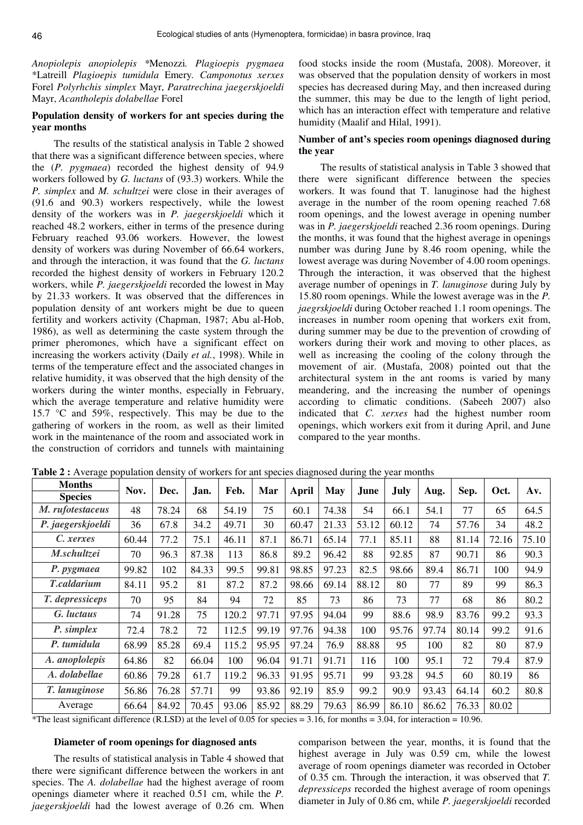*Anopiolepis anopiolepis \**Menozzi*. Plagioepis pygmaea* \*Latreill *Plagioepis tumidula* Emery*. Camponotus xerxes* Forel *Polyrhchis simplex* Mayr, *Paratrechina jaegerskjoeldi* Mayr, *Acantholepis dolabellae* Forel

## **Population density of workers for ant species during the year months**

The results of the statistical analysis in Table 2 showed that there was a significant difference between species, where the (*P. pygmaea*) recorded the highest density of 94.9 workers followed by *G. luctans* of (93.3) workers. While the *P. simplex* and *M. schultzei* were close in their averages of (91.6 and 90.3) workers respectively, while the lowest density of the workers was in *P. jaegerskjoeldi* which it reached 48.2 workers, either in terms of the presence during February reached 93.06 workers. However, the lowest density of workers was during November of 66.64 workers, and through the interaction, it was found that the *G. luctans* recorded the highest density of workers in February 120.2 workers, while *P. jaegerskjoeldi* recorded the lowest in May by 21.33 workers. It was observed that the differences in population density of ant workers might be due to queen fertility and workers activity (Chapman, 1987; Abu al-Hob, 1986), as well as determining the caste system through the primer pheromones, which have a significant effect on increasing the workers activity (Daily *et al.*, 1998). While in terms of the temperature effect and the associated changes in relative humidity, it was observed that the high density of the workers during the winter months, especially in February, which the average temperature and relative humidity were 15.7 °C and 59%, respectively. This may be due to the gathering of workers in the room, as well as their limited work in the maintenance of the room and associated work in the construction of corridors and tunnels with maintaining

food stocks inside the room (Mustafa, 2008). Moreover, it was observed that the population density of workers in most species has decreased during May, and then increased during the summer, this may be due to the length of light period, which has an interaction effect with temperature and relative humidity (Maalif and Hilal, 1991).

## **Number of ant's species room openings diagnosed during the year**

The results of statistical analysis in Table 3 showed that there were significant difference between the species workers. It was found that T. lanuginose had the highest average in the number of the room opening reached 7.68 room openings, and the lowest average in opening number was in *P. jaegerskjoeldi* reached 2.36 room openings. During the months, it was found that the highest average in openings number was during June by 8.46 room opening, while the lowest average was during November of 4.00 room openings. Through the interaction, it was observed that the highest average number of openings in *T. lanuginose* during July by 15.80 room openings. While the lowest average was in the *P. jaegrskjoeldi* during October reached 1.1 room openings. The increases in number room opening that workers exit from, during summer may be due to the prevention of crowding of workers during their work and moving to other places, as well as increasing the cooling of the colony through the movement of air. (Mustafa, 2008) pointed out that the architectural system in the ant rooms is varied by many meandering, and the increasing the number of openings according to climatic conditions. (Sabeeh 2007) also indicated that *C. xerxes* had the highest number room openings, which workers exit from it during April, and June compared to the year months.

| <b>Months</b>      | Nov.  | Dec.  | Jan.  | Feb.  | Mar   | April | <b>May</b> | June  | <b>July</b> |       | Sep.  | Oct.  | Av.   |
|--------------------|-------|-------|-------|-------|-------|-------|------------|-------|-------------|-------|-------|-------|-------|
| <b>Species</b>     |       |       |       |       |       |       |            |       |             | Aug.  |       |       |       |
| M. rufotestaceus   | 48    | 78.24 | 68    | 54.19 | 75    | 60.1  | 74.38      | 54    | 66.1        | 54.1  | 77    | 65    | 64.5  |
| P. jaegerskjoeldi  | 36    | 67.8  | 34.2  | 49.71 | 30    | 60.47 | 21.33      | 53.12 | 60.12       | 74    | 57.76 | 34    | 48.2  |
| C. xerxes          | 60.44 | 77.2  | 75.1  | 46.11 | 87.1  | 86.71 | 65.14      | 77.1  | 85.11       | 88    | 81.14 | 72.16 | 75.10 |
| M.schultzei        | 70    | 96.3  | 87.38 | 113   | 86.8  | 89.2  | 96.42      | 88    | 92.85       | 87    | 90.71 | 86    | 90.3  |
| P. pygmaea         | 99.82 | 102   | 84.33 | 99.5  | 99.81 | 98.85 | 97.23      | 82.5  | 98.66       | 89.4  | 86.71 | 100   | 94.9  |
| <b>T.caldarium</b> | 84.11 | 95.2  | 81    | 87.2  | 87.2  | 98.66 | 69.14      | 88.12 | 80          | 77    | 89    | 99    | 86.3  |
| T. depressiceps    | 70    | 95    | 84    | 94    | 72    | 85    | 73         | 86    | 73          | 77    | 68    | 86    | 80.2  |
| G. luctaus         | 74    | 91.28 | 75    | 120.2 | 97.71 | 97.95 | 94.04      | 99    | 88.6        | 98.9  | 83.76 | 99.2  | 93.3  |
| P. simplex         | 72.4  | 78.2  | 72    | 112.5 | 99.19 | 97.76 | 94.38      | 100   | 95.76       | 97.74 | 80.14 | 99.2  | 91.6  |
| P. tumidula        | 68.99 | 85.28 | 69.4  | 115.2 | 95.95 | 97.24 | 76.9       | 88.88 | 95          | 100   | 82    | 80    | 87.9  |
| A. anoplolepis     | 64.86 | 82    | 66.04 | 100   | 96.04 | 91.71 | 91.71      | 116   | 100         | 95.1  | 72    | 79.4  | 87.9  |
| A. dolabellae      | 60.86 | 79.28 | 61.7  | 119.2 | 96.33 | 91.95 | 95.71      | 99    | 93.28       | 94.5  | 60    | 80.19 | 86    |
| T. lanuginose      | 56.86 | 76.28 | 57.71 | 99    | 93.86 | 92.19 | 85.9       | 99.2  | 90.9        | 93.43 | 64.14 | 60.2  | 80.8  |
| Average            | 66.64 | 84.92 | 70.45 | 93.06 | 85.92 | 88.29 | 79.63      | 86.99 | 86.10       | 86.62 | 76.33 | 80.02 |       |

**Table 2 :** Average population density of workers for ant species diagnosed during the year months

\*The least significant difference (R.LSD) at the level of 0.05 for species  $= 3.16$ , for months  $= 3.04$ , for interaction  $= 10.96$ .

#### **Diameter of room openings for diagnosed ants**

The results of statistical analysis in Table 4 showed that there were significant difference between the workers in ant species. The *A. dolabellae* had the highest average of room openings diameter where it reached 0.51 cm, while the *P. jaegerskjoeldi* had the lowest average of 0.26 cm. When

comparison between the year, months, it is found that the highest average in July was 0.59 cm, while the lowest average of room openings diameter was recorded in October of 0.35 cm. Through the interaction, it was observed that *T. depressiceps* recorded the highest average of room openings diameter in July of 0.86 cm, while *P. jaegerskjoeldi* recorded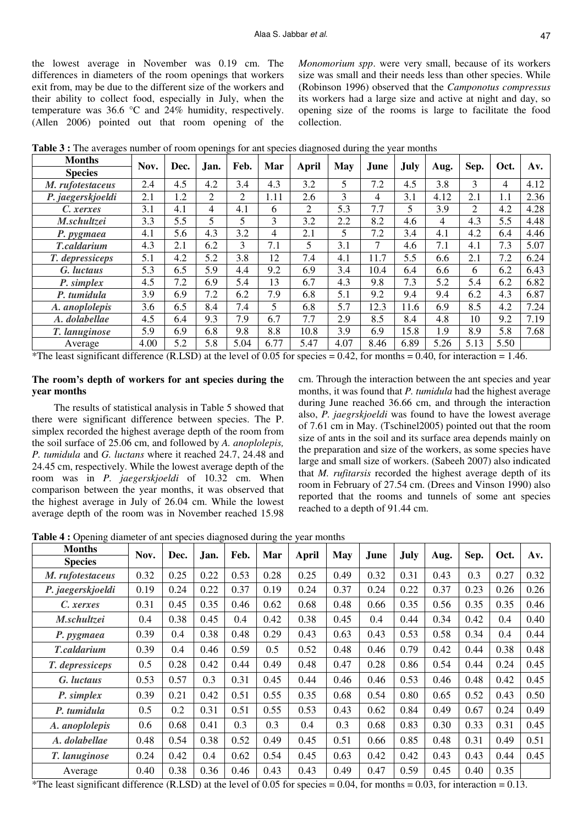the lowest average in November was 0.19 cm. The differences in diameters of the room openings that workers exit from, may be due to the different size of the workers and their ability to collect food, especially in July, when the temperature was 36.6 °C and 24% humidity, respectively. (Allen 2006) pointed out that room opening of the *Monomorium spp*. were very small, because of its workers size was small and their needs less than other species. While (Robinson 1996) observed that the *Camponotus compressus* its workers had a large size and active at night and day, so opening size of the rooms is large to facilitate the food collection.

| <b>Months</b>      | Nov. | Dec. | Jan.           | Feb. | Mar            | April | May  | June           | <b>July</b> |      | Sep. | Oct. | Av.  |
|--------------------|------|------|----------------|------|----------------|-------|------|----------------|-------------|------|------|------|------|
| <b>Species</b>     |      |      |                |      |                |       |      |                |             | Aug. |      |      |      |
| M. rufotestaceus   | 2.4  | 4.5  | 4.2            | 3.4  | 4.3            | 3.2   | 5    | 7.2            | 4.5         | 3.8  | 3    | 4    | 4.12 |
| P. jaegerskjoeldi  | 2.1  | 1.2  | $\overline{2}$ | 2    | 1.11           | 2.6   | 3    | $\overline{4}$ | 3.1         | 4.12 | 2.1  | 1.1  | 2.36 |
| C. xerxes          | 3.1  | 4.1  | $\overline{4}$ | 4.1  | 6              | 2     | 5.3  | 7.7            | 5           | 3.9  | 2    | 4.2  | 4.28 |
| M.schultzei        | 3.3  | 5.5  | 5              | 5    | 3              | 3.2   | 2.2  | 8.2            | 4.6         | 4    | 4.3  | 5.5  | 4.48 |
| P. pygmaea         | 4.1  | 5.6  | 4.3            | 3.2  | $\overline{4}$ | 2.1   | 5    | 7.2            | 3.4         | 4.1  | 4.2  | 6.4  | 4.46 |
| <b>T.caldarium</b> | 4.3  | 2.1  | 6.2            | 3    | 7.1            | 5     | 3.1  | 7              | 4.6         | 7.1  | 4.1  | 7.3  | 5.07 |
| T. depressiceps    | 5.1  | 4.2  | 5.2            | 3.8  | 12             | 7.4   | 4.1  | 11.7           | 5.5         | 6.6  | 2.1  | 7.2  | 6.24 |
| G. luctaus         | 5.3  | 6.5  | 5.9            | 4.4  | 9.2            | 6.9   | 3.4  | 10.4           | 6.4         | 6.6  | 6    | 6.2  | 6.43 |
| P. simplex         | 4.5  | 7.2  | 6.9            | 5.4  | 13             | 6.7   | 4.3  | 9.8            | 7.3         | 5.2  | 5.4  | 6.2  | 6.82 |
| P. tumidula        | 3.9  | 6.9  | 7.2            | 6.2  | 7.9            | 6.8   | 5.1  | 9.2            | 9.4         | 9.4  | 6.2  | 4.3  | 6.87 |
| A. anoplolepis     | 3.6  | 6.5  | 8.4            | 7.4  | 5.             | 6.8   | 5.7  | 12.3           | 11.6        | 6.9  | 8.5  | 4.2  | 7.24 |
| A. dolabellae      | 4.5  | 6.4  | 9.3            | 7.9  | 6.7            | 7.7   | 2.9  | 8.5            | 8.4         | 4.8  | 10   | 9.2  | 7.19 |
| T. lanuginose      | 5.9  | 6.9  | 6.8            | 9.8  | 8.8            | 10.8  | 3.9  | 6.9            | 15.8        | 1.9  | 8.9  | 5.8  | 7.68 |
| Average            | 4.00 | 5.2  | 5.8            | 5.04 | 6.77           | 5.47  | 4.07 | 8.46           | 6.89        | 5.26 | 5.13 | 5.50 |      |

**Table 3 :** The averages number of room openings for ant species diagnosed during the year months

\*The least significant difference (R.LSD) at the level of 0.05 for species  $= 0.42$ , for months  $= 0.40$ , for interaction  $= 1.46$ .

## **The room's depth of workers for ant species during the year months**

The results of statistical analysis in Table 5 showed that there were significant difference between species. The P. simplex recorded the highest average depth of the room from the soil surface of 25.06 cm, and followed by *A. anoplolepis, P. tumidula* and *G. luctans* where it reached 24.7, 24.48 and 24.45 cm, respectively. While the lowest average depth of the room was in *P. jaegerskjoeldi* of 10.32 cm. When comparison between the year months, it was observed that the highest average in July of 26.04 cm. While the lowest average depth of the room was in November reached 15.98 cm. Through the interaction between the ant species and year months, it was found that *P. tumidula* had the highest average during June reached 36.66 cm, and through the interaction also, *P. jaegrskjoeldi* was found to have the lowest average of 7.61 cm in May. (Tschinel2005) pointed out that the room size of ants in the soil and its surface area depends mainly on the preparation and size of the workers, as some species have large and small size of workers. (Sabeeh 2007) also indicated that *M. rufitarsis* recorded the highest average depth of its room in February of 27.54 cm. (Drees and Vinson 1990) also reported that the rooms and tunnels of some ant species reached to a depth of 91.44 cm.

**Table 4 :** Opening diameter of ant species diagnosed during the year months

| <b>Months</b>     | Nov. | Dec. | Jan. | Feb. | Mar  | <b>April</b> | May  | June | July |      | Sep. | Oct. | Av.  |
|-------------------|------|------|------|------|------|--------------|------|------|------|------|------|------|------|
| <b>Species</b>    |      |      |      |      |      |              |      |      |      | Aug. |      |      |      |
| M. rufotestaceus  | 0.32 | 0.25 | 0.22 | 0.53 | 0.28 | 0.25         | 0.49 | 0.32 | 0.31 | 0.43 | 0.3  | 0.27 | 0.32 |
| P. jaegerskjoeldi | 0.19 | 0.24 | 0.22 | 0.37 | 0.19 | 0.24         | 0.37 | 0.24 | 0.22 | 0.37 | 0.23 | 0.26 | 0.26 |
| C. xerxes         | 0.31 | 0.45 | 0.35 | 0.46 | 0.62 | 0.68         | 0.48 | 0.66 | 0.35 | 0.56 | 0.35 | 0.35 | 0.46 |
| M.schultzei       | 0.4  | 0.38 | 0.45 | 0.4  | 0.42 | 0.38         | 0.45 | 0.4  | 0.44 | 0.34 | 0.42 | 0.4  | 0.40 |
| P. pygmaea        | 0.39 | 0.4  | 0.38 | 0.48 | 0.29 | 0.43         | 0.63 | 0.43 | 0.53 | 0.58 | 0.34 | 0.4  | 0.44 |
| T.caldarium       | 0.39 | 0.4  | 0.46 | 0.59 | 0.5  | 0.52         | 0.48 | 0.46 | 0.79 | 0.42 | 0.44 | 0.38 | 0.48 |
| T. depressiceps   | 0.5  | 0.28 | 0.42 | 0.44 | 0.49 | 0.48         | 0.47 | 0.28 | 0.86 | 0.54 | 0.44 | 0.24 | 0.45 |
| G. luctaus        | 0.53 | 0.57 | 0.3  | 0.31 | 0.45 | 0.44         | 0.46 | 0.46 | 0.53 | 0.46 | 0.48 | 0.42 | 0.45 |
| P. simplex        | 0.39 | 0.21 | 0.42 | 0.51 | 0.55 | 0.35         | 0.68 | 0.54 | 0.80 | 0.65 | 0.52 | 0.43 | 0.50 |
| P. tumidula       | 0.5  | 0.2  | 0.31 | 0.51 | 0.55 | 0.53         | 0.43 | 0.62 | 0.84 | 0.49 | 0.67 | 0.24 | 0.49 |
| A. anoplolepis    | 0.6  | 0.68 | 0.41 | 0.3  | 0.3  | 0.4          | 0.3  | 0.68 | 0.83 | 0.30 | 0.33 | 0.31 | 0.45 |
| A. dolabellae     | 0.48 | 0.54 | 0.38 | 0.52 | 0.49 | 0.45         | 0.51 | 0.66 | 0.85 | 0.48 | 0.31 | 0.49 | 0.51 |
| T. lanuginose     | 0.24 | 0.42 | 0.4  | 0.62 | 0.54 | 0.45         | 0.63 | 0.42 | 0.42 | 0.43 | 0.43 | 0.44 | 0.45 |
| Average           | 0.40 | 0.38 | 0.36 | 0.46 | 0.43 | 0.43         | 0.49 | 0.47 | 0.59 | 0.45 | 0.40 | 0.35 |      |

\*The least significant difference (R.LSD) at the level of 0.05 for species =  $0.04$ , for months = 0.03, for interaction = 0.13.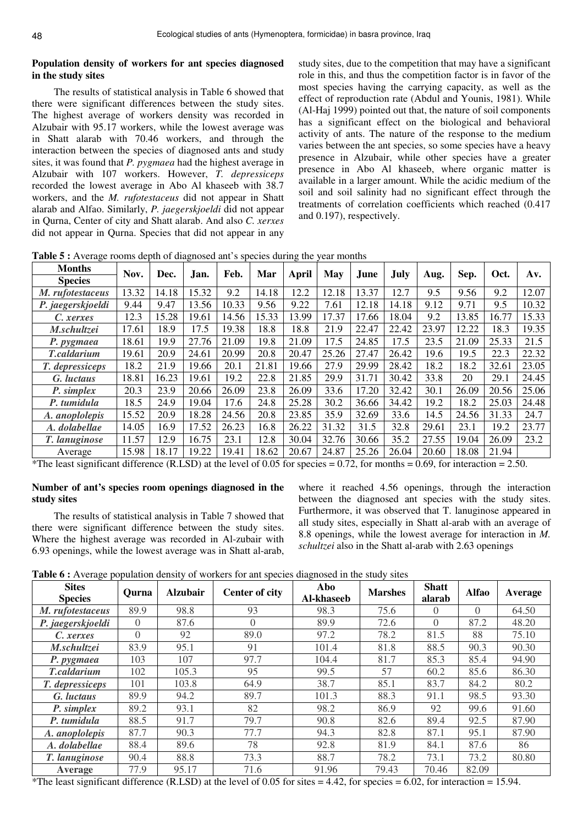## **Population density of workers for ant species diagnosed in the study sites**

The results of statistical analysis in Table 6 showed that there were significant differences between the study sites. The highest average of workers density was recorded in Alzubair with 95.17 workers, while the lowest average was in Shatt alarab with 70.46 workers, and through the interaction between the species of diagnosed ants and study sites, it was found that *P. pygmaea* had the highest average in Alzubair with 107 workers. However, *T. depressiceps* recorded the lowest average in Abo Al khaseeb with 38.7 workers, and the *M. rufotestaceus* did not appear in Shatt alarab and Alfao. Similarly, *P. jaegerskjoeldi* did not appear in Qurna, Center of city and Shatt alarab. And also *C. xerxes* did not appear in Qurna. Species that did not appear in any

study sites, due to the competition that may have a significant role in this, and thus the competition factor is in favor of the most species having the carrying capacity, as well as the effect of reproduction rate (Abdul and Younis, 1981). While (Al-Haj 1999) pointed out that, the nature of soil components has a significant effect on the biological and behavioral activity of ants. The nature of the response to the medium varies between the ant species, so some species have a heavy presence in Alzubair, while other species have a greater presence in Abo Al khaseeb, where organic matter is available in a larger amount. While the acidic medium of the soil and soil salinity had no significant effect through the treatments of correlation coefficients which reached (0.417 and 0.197), respectively.

**Table 5 :** Average rooms depth of diagnosed ant's species during the year months

| <b>Months</b>      | Nov.  | Dec.  |       | Feb.  | Mar   | April | May   | June  | <b>July</b> |       | Sep.  | Oct.  | Av.   |
|--------------------|-------|-------|-------|-------|-------|-------|-------|-------|-------------|-------|-------|-------|-------|
| <b>Species</b>     |       |       | Jan.  |       |       |       |       |       |             | Aug.  |       |       |       |
| M. rufotestaceus   | 13.32 | 14.18 | 15.32 | 9.2   | 14.18 | 12.2  | 12.18 | 13.37 | 12.7        | 9.5   | 9.56  | 9.2   | 12.07 |
| P. jaegerskjoeldi  | 9.44  | 9.47  | 13.56 | 10.33 | 9.56  | 9.22  | 7.61  | 12.18 | 14.18       | 9.12  | 9.71  | 9.5   | 10.32 |
| C. xerxes          | 12.3  | 15.28 | 19.61 | 14.56 | 15.33 | 13.99 | 17.37 | 17.66 | 18.04       | 9.2   | 13.85 | 16.77 | 15.33 |
| M.schultzei        | 17.61 | 18.9  | 17.5  | 19.38 | 18.8  | 18.8  | 21.9  | 22.47 | 22.42       | 23.97 | 12.22 | 18.3  | 19.35 |
| P. pygmaea         | 18.61 | 19.9  | 27.76 | 21.09 | 19.8  | 21.09 | 17.5  | 24.85 | 17.5        | 23.5  | 21.09 | 25.33 | 21.5  |
| <b>T.caldarium</b> | 19.61 | 20.9  | 24.61 | 20.99 | 20.8  | 20.47 | 25.26 | 27.47 | 26.42       | 19.6  | 19.5  | 22.3  | 22.32 |
| T. depressiceps    | 18.2  | 21.9  | 19.66 | 20.1  | 21.81 | 19.66 | 27.9  | 29.99 | 28.42       | 18.2  | 18.2  | 32.61 | 23.05 |
| G. luctaus         | 18.81 | 16.23 | 19.61 | 19.2  | 22.8  | 21.85 | 29.9  | 31.71 | 30.42       | 33.8  | 20    | 29.1  | 24.45 |
| P. simplex         | 20.3  | 23.9  | 20.66 | 26.09 | 23.8  | 26.09 | 33.6  | 17.20 | 32.42       | 30.1  | 26.09 | 20.56 | 25.06 |
| P. tumidula        | 18.5  | 24.9  | 19.04 | 17.6  | 24.8  | 25.28 | 30.2  | 36.66 | 34.42       | 19.2  | 18.2  | 25.03 | 24.48 |
| A. anoplolepis     | 15.52 | 20.9  | 18.28 | 24.56 | 20.8  | 23.85 | 35.9  | 32.69 | 33.6        | 14.5  | 24.56 | 31.33 | 24.7  |
| A. dolabellae      | 14.05 | 16.9  | 17.52 | 26.23 | 16.8  | 26.22 | 31.32 | 31.5  | 32.8        | 29.61 | 23.1  | 19.2  | 23.77 |
| T. lanuginose      | 11.57 | 12.9  | 16.75 | 23.1  | 12.8  | 30.04 | 32.76 | 30.66 | 35.2        | 27.55 | 19.04 | 26.09 | 23.2  |
| Average            | 15.98 | 18.17 | 19.22 | 19.41 | 18.62 | 20.67 | 24.87 | 25.26 | 26.04       | 20.60 | 18.08 | 21.94 |       |

\*The least significant difference (R.LSD) at the level of 0.05 for species = 0.72, for months = 0.69, for interaction = 2.50.

## **Number of ant's species room openings diagnosed in the study sites**

The results of statistical analysis in Table 7 showed that there were significant difference between the study sites. Where the highest average was recorded in Al-zubair with 6.93 openings, while the lowest average was in Shatt al-arab,

where it reached 4.56 openings, through the interaction between the diagnosed ant species with the study sites. Furthermore, it was observed that T. lanuginose appeared in all study sites, especially in Shatt al-arab with an average of 8.8 openings, while the lowest average for interaction in *M. schultzei* also in the Shatt al-arab with 2.63 openings

**Table 6 :** Average population density of workers for ant species diagnosed in the study sites

| <b>Sites</b><br><b>Species</b> | Ourna    | <b>Alzubair</b> | <b>Center of city</b> | Abo<br>Al-khaseeb | <b>Marshes</b> | <b>Shatt</b><br>alarab | <b>Alfao</b> | Average |
|--------------------------------|----------|-----------------|-----------------------|-------------------|----------------|------------------------|--------------|---------|
| M. rufotestaceus               | 89.9     | 98.8            | 93                    | 98.3              | 75.6           | $\left( \right)$       | $\Omega$     | 64.50   |
| P. jaegerskjoeldi              | $\Omega$ | 87.6            | $\Omega$              | 89.9              | 72.6           | $\overline{0}$         | 87.2         | 48.20   |
| C. xerxes                      | $\Omega$ | 92              | 89.0                  | 97.2              | 78.2           | 81.5                   | 88           | 75.10   |
| M.schultzei                    | 83.9     | 95.1            | 91                    | 101.4             | 81.8           | 88.5                   | 90.3         | 90.30   |
| P. pygmaea                     | 103      | 107             | 97.7                  | 104.4             | 81.7           | 85.3                   | 85.4         | 94.90   |
| <b>T.caldarium</b>             | 102      | 105.3           | 95                    | 99.5              | 57             | 60.2                   | 85.6         | 86.30   |
| T. depressiceps                | 101      | 103.8           | 64.9                  | 38.7              | 85.1           | 83.7                   | 84.2         | 80.2    |
| G. luctaus                     | 89.9     | 94.2            | 89.7                  | 101.3             | 88.3           | 91.1                   | 98.5         | 93.30   |
| P. simplex                     | 89.2     | 93.1            | 82                    | 98.2              | 86.9           | 92                     | 99.6         | 91.60   |
| P. tumidula                    | 88.5     | 91.7            | 79.7                  | 90.8              | 82.6           | 89.4                   | 92.5         | 87.90   |
| A. anoplolepis                 | 87.7     | 90.3            | 77.7                  | 94.3              | 82.8           | 87.1                   | 95.1         | 87.90   |
| A. dolabellae                  | 88.4     | 89.6            | 78                    | 92.8              | 81.9           | 84.1                   | 87.6         | 86      |
| T. lanuginose                  | 90.4     | 88.8            | 73.3                  | 88.7              | 78.2           | 73.1                   | 73.2         | 80.80   |
| Average                        | 77.9     | 95.17           | 71.6                  | 91.96             | 79.43          | 70.46                  | 82.09        |         |

 $*$ The least significant difference (R.LSD) at the level of 0.05 for sites = 4.42, for species = 6.02, for interaction = 15.94.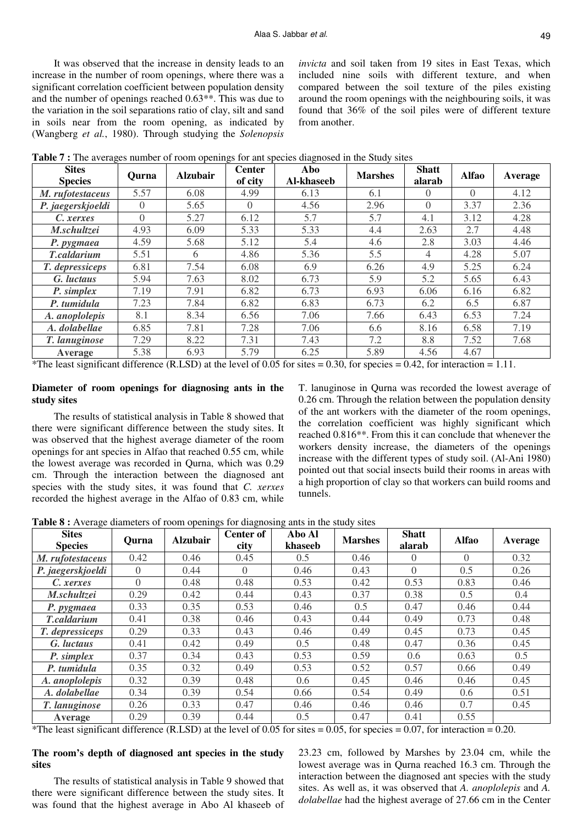It was observed that the increase in density leads to an increase in the number of room openings, where there was a significant correlation coefficient between population density and the number of openings reached 0.63\*\*. This was due to the variation in the soil separations ratio of clay, silt and sand in soils near from the room opening, as indicated by (Wangberg *et al.*, 1980). Through studying the *Solenopsis*  *invicta* and soil taken from 19 sites in East Texas, which included nine soils with different texture, and when compared between the soil texture of the piles existing around the room openings with the neighbouring soils, it was found that 36% of the soil piles were of different texture from another.

| <b>Table 7:</b> The averages number of room openings for ant species diagnosed in the Study sites |  |
|---------------------------------------------------------------------------------------------------|--|
|---------------------------------------------------------------------------------------------------|--|

| <b>Sites</b><br><b>Species</b> | Ourna    | <b>Alzubair</b> | <b>Center</b><br>of city | Abo<br>Al-khaseeb | <b>Marshes</b> | <b>Shatt</b><br>alarab | <b>Alfao</b> | Average |
|--------------------------------|----------|-----------------|--------------------------|-------------------|----------------|------------------------|--------------|---------|
| M. rufotestaceus               | 5.57     | 6.08            | 4.99                     | 6.13              | 6.1            | $\Omega$               | $\Omega$     | 4.12    |
| P. jaegerskjoeldi              | $\Omega$ | 5.65            | $\Omega$                 | 4.56              | 2.96           | $\Omega$               | 3.37         | 2.36    |
| C. xerxes                      | $\Omega$ | 5.27            | 6.12                     | 5.7               | 5.7            | 4.1                    | 3.12         | 4.28    |
| M.schultzei                    | 4.93     | 6.09            | 5.33                     | 5.33              | 4.4            | 2.63                   | 2.7          | 4.48    |
| P. pygmaea                     | 4.59     | 5.68            | 5.12                     | 5.4               | 4.6            | 2.8                    | 3.03         | 4.46    |
| <b>T.caldarium</b>             | 5.51     | 6               | 4.86                     | 5.36              | 5.5            | 4                      | 4.28         | 5.07    |
| T. depressiceps                | 6.81     | 7.54            | 6.08                     | 6.9               | 6.26           | 4.9                    | 5.25         | 6.24    |
| G. luctaus                     | 5.94     | 7.63            | 8.02                     | 6.73              | 5.9            | 5.2                    | 5.65         | 6.43    |
| P. simplex                     | 7.19     | 7.91            | 6.82                     | 6.73              | 6.93           | 6.06                   | 6.16         | 6.82    |
| P. tumidula                    | 7.23     | 7.84            | 6.82                     | 6.83              | 6.73           | 6.2                    | 6.5          | 6.87    |
| A. anoplolepis                 | 8.1      | 8.34            | 6.56                     | 7.06              | 7.66           | 6.43                   | 6.53         | 7.24    |
| A. dolabellae                  | 6.85     | 7.81            | 7.28                     | 7.06              | 6.6            | 8.16                   | 6.58         | 7.19    |
| T. lanuginose                  | 7.29     | 8.22            | 7.31                     | 7.43              | 7.2            | 8.8                    | 7.52         | 7.68    |
| Average                        | 5.38     | 6.93            | 5.79                     | 6.25              | 5.89           | 4.56                   | 4.67         |         |

\*The least significant difference (R.LSD) at the level of 0.05 for sites  $= 0.30$ , for species  $= 0.42$ , for interaction  $= 1.11$ .

## **Diameter of room openings for diagnosing ants in the study sites**

The results of statistical analysis in Table 8 showed that there were significant difference between the study sites. It was observed that the highest average diameter of the room openings for ant species in Alfao that reached 0.55 cm, while the lowest average was recorded in Qurna, which was 0.29 cm. Through the interaction between the diagnosed ant species with the study sites, it was found that *C. xerxes* recorded the highest average in the Alfao of 0.83 cm, while

T. lanuginose in Qurna was recorded the lowest average of 0.26 cm. Through the relation between the population density of the ant workers with the diameter of the room openings, the correlation coefficient was highly significant which reached 0.816\*\*. From this it can conclude that whenever the workers density increase, the diameters of the openings increase with the different types of study soil. (Al-Ani 1980) pointed out that social insects build their rooms in areas with a high proportion of clay so that workers can build rooms and tunnels.

**Table 8 :** Average diameters of room openings for diagnosing ants in the study sites

| <b>Sites</b><br><b>Species</b> | Qurna    | <b>Alzubair</b> | <b>Center of</b><br>city | Abo Al<br>khaseeb | <b>Marshes</b> | <b>Shatt</b><br>alarab | <b>Alfao</b> | Average |
|--------------------------------|----------|-----------------|--------------------------|-------------------|----------------|------------------------|--------------|---------|
| M. rufotestaceus               | 0.42     | 0.46            | 0.45                     | 0.5               | 0.46           | $\left( \right)$       | $\Omega$     | 0.32    |
| P. jaegerskjoeldi              | $\Omega$ | 0.44            | $\Omega$                 | 0.46              | 0.43           | $\Omega$               | 0.5          | 0.26    |
| C. xerxes                      | $\Omega$ | 0.48            | 0.48                     | 0.53              | 0.42           | 0.53                   | 0.83         | 0.46    |
| M.schultzei                    | 0.29     | 0.42            | 0.44                     | 0.43              | 0.37           | 0.38                   | 0.5          | 0.4     |
| P. pygmaea                     | 0.33     | 0.35            | 0.53                     | 0.46              | 0.5            | 0.47                   | 0.46         | 0.44    |
| <b>T.caldarium</b>             | 0.41     | 0.38            | 0.46                     | 0.43              | 0.44           | 0.49                   | 0.73         | 0.48    |
| T. depressiceps                | 0.29     | 0.33            | 0.43                     | 0.46              | 0.49           | 0.45                   | 0.73         | 0.45    |
| G. luctaus                     | 0.41     | 0.42            | 0.49                     | 0.5               | 0.48           | 0.47                   | 0.36         | 0.45    |
| P. simplex                     | 0.37     | 0.34            | 0.43                     | 0.53              | 0.59           | 0.6                    | 0.63         | 0.5     |
| P. tumidula                    | 0.35     | 0.32            | 0.49                     | 0.53              | 0.52           | 0.57                   | 0.66         | 0.49    |
| A. anoplolepis                 | 0.32     | 0.39            | 0.48                     | 0.6               | 0.45           | 0.46                   | 0.46         | 0.45    |
| A. dolabellae                  | 0.34     | 0.39            | 0.54                     | 0.66              | 0.54           | 0.49                   | 0.6          | 0.51    |
| T. lanuginose                  | 0.26     | 0.33            | 0.47                     | 0.46              | 0.46           | 0.46                   | 0.7          | 0.45    |
| Average                        | 0.29     | 0.39            | 0.44                     | 0.5               | 0.47           | 0.41                   | 0.55         |         |

\*The least significant difference (R.LSD) at the level of 0.05 for sites  $= 0.05$ , for species  $= 0.07$ , for interaction  $= 0.20$ .

## **The room's depth of diagnosed ant species in the study sites**

The results of statistical analysis in Table 9 showed that there were significant difference between the study sites. It was found that the highest average in Abo Al khaseeb of 23.23 cm, followed by Marshes by 23.04 cm, while the lowest average was in Qurna reached 16.3 cm. Through the interaction between the diagnosed ant species with the study sites. As well as, it was observed that *A. anoplolepis* and *A. dolabellae* had the highest average of 27.66 cm in the Center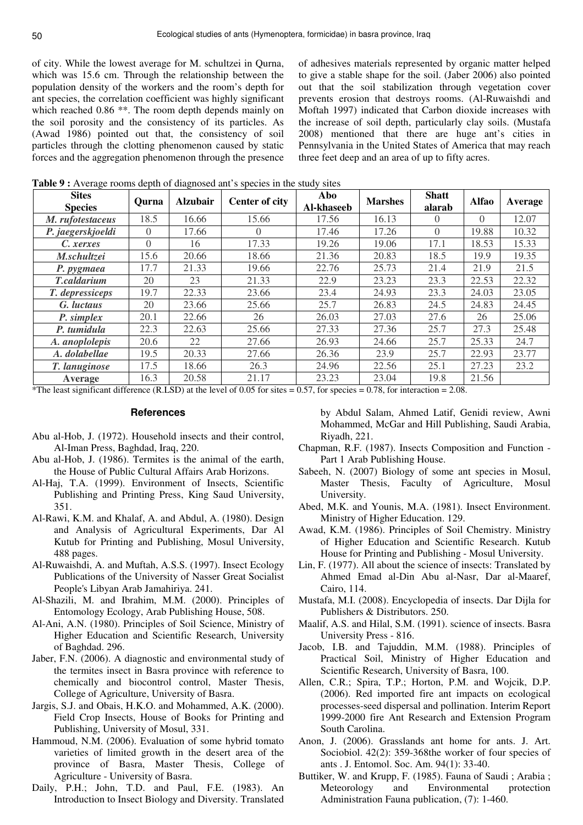of city. While the lowest average for M. schultzei in Qurna, which was 15.6 cm. Through the relationship between the population density of the workers and the room's depth for ant species, the correlation coefficient was highly significant which reached 0.86<sup>\*\*</sup>. The room depth depends mainly on the soil porosity and the consistency of its particles. As (Awad 1986) pointed out that, the consistency of soil particles through the clotting phenomenon caused by static forces and the aggregation phenomenon through the presence

of adhesives materials represented by organic matter helped to give a stable shape for the soil. (Jaber 2006) also pointed out that the soil stabilization through vegetation cover prevents erosion that destroys rooms. (Al-Ruwaishdi and Moftah 1997) indicated that Carbon dioxide increases with the increase of soil depth, particularly clay soils. (Mustafa 2008) mentioned that there are huge ant's cities in Pennsylvania in the United States of America that may reach three feet deep and an area of up to fifty acres.

**Table 9 :** Average rooms depth of diagnosed ant's species in the study sites

| <b>Sites</b><br><b>Species</b> | Ourna    | <b>Alzubair</b> | <b>Center of city</b> | Abo<br>Al-khaseeb | <b>Marshes</b> | <b>Shatt</b><br>alarab | Alfao    | Average |
|--------------------------------|----------|-----------------|-----------------------|-------------------|----------------|------------------------|----------|---------|
| M. rufotestaceus               | 18.5     | 16.66           | 15.66                 | 17.56             | 16.13          | $\Omega$               | $\Omega$ | 12.07   |
| P. jaegerskjoeldi              | $\Omega$ | 17.66           | $\left( \right)$      | 17.46             | 17.26          | $\theta$               | 19.88    | 10.32   |
| C. xerxes                      | $\Omega$ | 16              | 17.33                 | 19.26             | 19.06          | 17.1                   | 18.53    | 15.33   |
| M.schultzei                    | 15.6     | 20.66           | 18.66                 | 21.36             | 20.83          | 18.5                   | 19.9     | 19.35   |
| P. pygmaea                     | 17.7     | 21.33           | 19.66                 | 22.76             | 25.73          | 21.4                   | 21.9     | 21.5    |
| T.caldarium                    | 20       | 23              | 21.33                 | 22.9              | 23.23          | 23.3                   | 22.53    | 22.32   |
| T. depressiceps                | 19.7     | 22.33           | 23.66                 | 23.4              | 24.93          | 23.3                   | 24.03    | 23.05   |
| G. luctaus                     | 20       | 23.66           | 25.66                 | 25.7              | 26.83          | 24.5                   | 24.83    | 24.45   |
| P. simplex                     | 20.1     | 22.66           | 26                    | 26.03             | 27.03          | 27.6                   | 26       | 25.06   |
| P. tumidula                    | 22.3     | 22.63           | 25.66                 | 27.33             | 27.36          | 25.7                   | 27.3     | 25.48   |
| A. anoplolepis                 | 20.6     | 22              | 27.66                 | 26.93             | 24.66          | 25.7                   | 25.33    | 24.7    |
| A. dolabellae                  | 19.5     | 20.33           | 27.66                 | 26.36             | 23.9           | 25.7                   | 22.93    | 23.77   |
| T. lanuginose                  | 17.5     | 18.66           | 26.3                  | 24.96             | 22.56          | 25.1                   | 27.23    | 23.2    |
| Average                        | 16.3     | 20.58           | 21.17                 | 23.23             | 23.04          | 19.8                   | 21.56    |         |

\*The least significant difference (R.LSD) at the level of 0.05 for sites  $= 0.57$ , for species  $= 0.78$ , for interaction  $= 2.08$ .

## **References**

- Abu al-Hob, J. (1972). Household insects and their control, Al-Iman Press, Baghdad, Iraq, 220.
- Abu al-Hob, J. (1986). Termites is the animal of the earth, the House of Public Cultural Affairs Arab Horizons.
- Al-Haj, T.A. (1999). Environment of Insects, Scientific Publishing and Printing Press, King Saud University, 351.
- Al-Rawi, K.M. and Khalaf, A. and Abdul, A. (1980). Design and Analysis of Agricultural Experiments, Dar Al Kutub for Printing and Publishing, Mosul University, 488 pages.
- Al-Ruwaishdi, A. and Muftah, A.S.S. (1997). Insect Ecology Publications of the University of Nasser Great Socialist People's Libyan Arab Jamahiriya. 241.
- Al-Shazili, M. and Ibrahim, M.M. (2000). Principles of Entomology Ecology, Arab Publishing House, 508.
- Al-Ani, A.N. (1980). Principles of Soil Science, Ministry of Higher Education and Scientific Research, University of Baghdad. 296.
- Jaber, F.N. (2006). A diagnostic and environmental study of the termites insect in Basra province with reference to chemically and biocontrol control, Master Thesis, College of Agriculture, University of Basra.
- Jargis, S.J. and Obais, H.K.O. and Mohammed, A.K. (2000). Field Crop Insects, House of Books for Printing and Publishing, University of Mosul, 331.
- Hammoud, N.M. (2006). Evaluation of some hybrid tomato varieties of limited growth in the desert area of the province of Basra, Master Thesis, College of Agriculture - University of Basra.
- Daily, P.H.; John, T.D. and Paul, F.E. (1983). An Introduction to Insect Biology and Diversity. Translated

by Abdul Salam, Ahmed Latif, Genidi review, Awni Mohammed, McGar and Hill Publishing, Saudi Arabia, Riyadh, 221.

- Chapman, R.F. (1987). Insects Composition and Function Part 1 Arab Publishing House.
- Sabeeh, N. (2007) Biology of some ant species in Mosul, Master Thesis, Faculty of Agriculture, Mosul University.
- Abed, M.K. and Younis, M.A. (1981). Insect Environment. Ministry of Higher Education. 129.
- Awad, K.M. (1986). Principles of Soil Chemistry. Ministry of Higher Education and Scientific Research. Kutub House for Printing and Publishing - Mosul University.
- Lin, F. (1977). All about the science of insects: Translated by Ahmed Emad al-Din Abu al-Nasr, Dar al-Maaref, Cairo, 114.
- Mustafa, M.I. (2008). Encyclopedia of insects. Dar Dijla for Publishers & Distributors. 250.
- Maalif, A.S. and Hilal, S.M. (1991). science of insects. Basra University Press - 816.
- Jacob, I.B. and Tajuddin, M.M. (1988). Principles of Practical Soil, Ministry of Higher Education and Scientific Research, University of Basra, 100.
- Allen, C.R.; Spira, T.P.; Horton, P.M. and Wojcik, D.P. (2006). Red imported fire ant impacts on ecological processes-seed dispersal and pollination. Interim Report 1999-2000 fire Ant Research and Extension Program South Carolina.
- Anon, J. (2006). Grasslands ant home for ants. J. Art. Sociobiol. 42(2): 359-368the worker of four species of ants . J. Entomol. Soc. Am. 94(1): 33-40.
- Buttiker, W. and Krupp, F. (1985). Fauna of Saudi ; Arabia ; Meteorology and Environmental protection Administration Fauna publication, (7): 1-460.